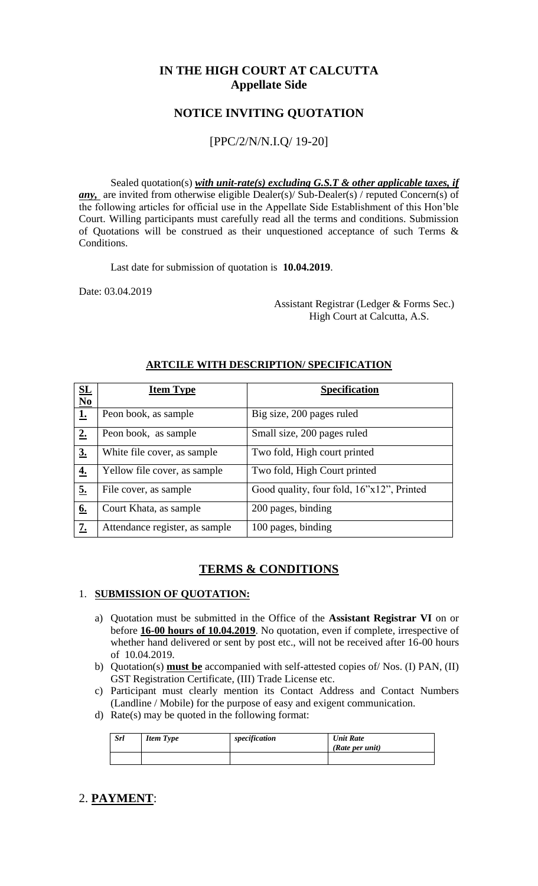## **IN THE HIGH COURT AT CALCUTTA Appellate Side**

## **NOTICE INVITING QUOTATION**

### [PPC/2/N/N.I.Q/ 19-20]

Sealed quotation(s) *with unit-rate(s) excluding G.S.T & other applicable taxes, if any*, are invited from otherwise eligible Dealer(s)/ Sub-Dealer(s) / reputed Concern(s) of the following articles for official use in the Appellate Side Establishment of this Hon'ble Court. Willing participants must carefully read all the terms and conditions. Submission of Quotations will be construed as their unquestioned acceptance of such Terms & Conditions.

Last date for submission of quotation is **10.04.2019**.

Date: 03.04.2019

 Assistant Registrar (Ledger & Forms Sec.) High Court at Calcutta, A.S.

| $\underline{\mathbf{SL}}$<br>N <sub>0</sub> | <b>Item Type</b>               | <b>Specification</b>                      |
|---------------------------------------------|--------------------------------|-------------------------------------------|
| <u>1.</u>                                   | Peon book, as sample           | Big size, 200 pages ruled                 |
| 2.                                          | Peon book, as sample           | Small size, 200 pages ruled               |
| 3 <sub>0</sub>                              | White file cover, as sample    | Two fold, High court printed              |
| $\underline{4.}$                            | Yellow file cover, as sample   | Two fold, High Court printed              |
| 5.                                          | File cover, as sample          | Good quality, four fold, 16"x12", Printed |
| 6.                                          | Court Khata, as sample         | 200 pages, binding                        |
| 7.                                          | Attendance register, as sample | 100 pages, binding                        |

#### **ARTCILE WITH DESCRIPTION/ SPECIFICATION**

## **TERMS & CONDITIONS**

#### 1. **SUBMISSION OF QUOTATION:**

- a) Quotation must be submitted in the Office of the **Assistant Registrar VI** on or before **16-00 hours of 10.04.2019**. No quotation, even if complete, irrespective of whether hand delivered or sent by post etc., will not be received after 16-00 hours of 10.04.2019.
- b) Quotation(s) **must be** accompanied with self-attested copies of/ Nos. (I) PAN, (II) GST Registration Certificate, (III) Trade License etc.
- c) Participant must clearly mention its Contact Address and Contact Numbers (Landline / Mobile) for the purpose of easy and exigent communication.
- d) Rate(s) may be quoted in the following format:

| <b>Srl</b> | <b>Item Type</b> | specification | <b>Unit Rate</b><br>(Rate per unit) |
|------------|------------------|---------------|-------------------------------------|
|            |                  |               |                                     |

## 2. **PAYMENT**: